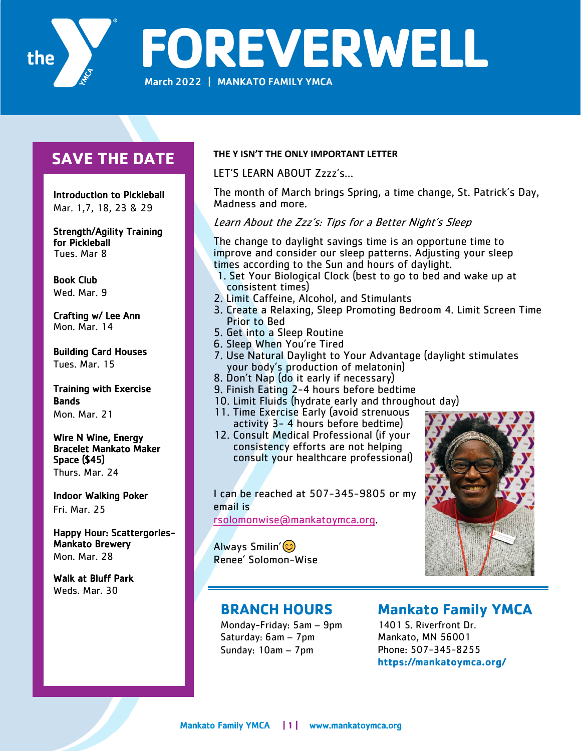

**FOREVERWELL**

March 2022 | MANKATO FAMILY YMCA

# **SAVE THE DATE**

 Introduction to Pickleball Mar. 1,7, 18, 23 & 29

Strength/Agility Training for Pickleball Tues. Mar 8

Book Club Wed. Mar. 9

Crafting w/ Lee Ann Mon. Mar. 14

Building Card Houses Tues. Mar. 15

Training with Exercise Bands Mon. Mar. 21

Wire N Wine, Energy Bracelet Mankato Maker Space (\$45) Thurs. Mar. 24

Indoor Walking Poker Fri. Mar. 25

Happy Hour: Scattergories-Mankato Brewery Mon. Mar. 28

Walk at Bluff Park Weds. Mar. 30

### **THE Y ISN'T THE ONLY IMPORTANT LETTER**

LET'S LEARN ABOUT Zzzz's…

The month of March brings Spring, a time change, St. Patrick's Day, Madness and more.

### Learn About the Zzz's: Tips for a Better Night's Sleep

The change to daylight savings time is an opportune time to improve and consider our sleep patterns. Adjusting your sleep times according to the Sun and hours of daylight.

- 1. Set Your Biological Clock (best to go to bed and wake up at consistent times)
- 2. Limit Caffeine, Alcohol, and Stimulants
- 3. Create a Relaxing, Sleep Promoting Bedroom 4. Limit Screen Time Prior to Bed
- 5. Get into a Sleep Routine
- 6. Sleep When You're Tired
- 7. Use Natural Daylight to Your Advantage (daylight stimulates your body's production of melatonin)
- 8. Don't Nap (do it early if necessary)
- 9. Finish Eating 2-4 hours before bedtime
- 10. Limit Fluids (hydrate early and throughout day)
- 11. Time Exercise Early (avoid strenuous activity 3- 4 hours before bedtime)
- 12. Consult Medical Professional (if your consistency efforts are not helping consult your healthcare professional)

I can be reached at 507-345-9805 or my email is

rsolomonwise@mankatoymca.org.

Always Smilin'(3) Renee' Solomon-Wise



## **BRANCH HOURS**

Monday-Friday: 5am – 9pm Saturday: 6am – 7pm Sunday: 10am – 7pm

# **Mankato Family YMCA**

1401 S. Riverfront Dr. Mankato, MN 56001 Phone: 507-345-8255 **https://mankatoymca.org/**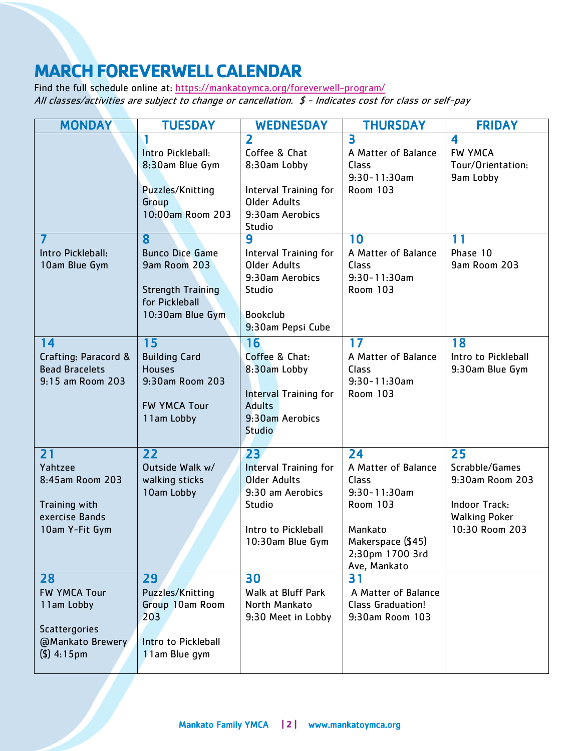# **MARCH FOREVERWELL CALENDAR**

Find the full schedule online at: https://mankatoymca.org/foreverwell-program/ All classes/activities are subject to change or cancellation. \$ - Indicates cost for class or self-pay

| <b>MONDAY</b>                                                                                         | <b>TUESDAY</b>                                                                                                | <b>WEDNESDAY</b>                                                                                                                             | <b>THURSDAY</b>                                                                                                                               | <b>FRIDAY</b>                                                                                             |
|-------------------------------------------------------------------------------------------------------|---------------------------------------------------------------------------------------------------------------|----------------------------------------------------------------------------------------------------------------------------------------------|-----------------------------------------------------------------------------------------------------------------------------------------------|-----------------------------------------------------------------------------------------------------------|
|                                                                                                       | Intro Pickleball:<br>8:30am Blue Gym<br>Puzzles/Knitting<br>Group<br>10:00am Room 203                         | $\overline{\mathbf{2}}$<br>Coffee & Chat<br>8:30am Lobby<br><b>Interval Training for</b><br><b>Older Adults</b><br>9:30am Aerobics<br>Studio | 3<br>A Matter of Balance<br>Class<br>$9:30 - 11:30$ am<br>Room 103                                                                            | 4<br><b>FW YMCA</b><br>Tour/Orientation:<br>9am Lobby                                                     |
| Intro Pickleball:<br>10am Blue Gym                                                                    | 8<br><b>Bunco Dice Game</b><br>9am Room 203<br><b>Strength Training</b><br>for Pickleball<br>10:30am Blue Gym | 9<br>Interval Training for<br><b>Older Adults</b><br>9:30am Aerobics<br>Studio<br><b>Bookclub</b><br>9:30am Pepsi Cube                       | 10<br>A Matter of Balance<br>Class<br>$9:30 - 11:30$ am<br><b>Room 103</b>                                                                    | 11<br>Phase 10<br>9am Room 203                                                                            |
| 14<br>Crafting: Paracord &<br><b>Bead Bracelets</b><br>9:15 am Room 203                               | 15<br><b>Building Card</b><br><b>Houses</b><br>9:30am Room 203<br><b>FW YMCA Tour</b><br>11am Lobby           | 16<br>Coffee & Chat:<br>8:30am Lobby<br><b>Interval Training for</b><br><b>Adults</b><br>9:30am Aerobics<br><b>Studio</b>                    | 17<br>A Matter of Balance<br>Class<br>$9:30 - 11:30$ am<br><b>Room 103</b>                                                                    | 18<br>Intro to Pickleball<br>9:30am Blue Gym                                                              |
| 21<br>Yahtzee<br>8:45am Room 203<br>Training with<br>exercise Bands<br>10am Y-Fit Gym                 | 22<br>Outside Walk w/<br>walking sticks<br>10am Lobby                                                         | 23<br><b>Interval Training for</b><br><b>Older Adults</b><br>9:30 am Aerobics<br>Studio<br>Intro to Pickleball<br>10:30am Blue Gym           | 24<br>A Matter of Balance<br>Class<br>$9:30 - 11:30$ am<br><b>Room 103</b><br>Mankato<br>Makerspace (\$45)<br>2:30pm 1700 3rd<br>Ave, Mankato | 25<br>Scrabble/Games<br>9:30am Room 203<br><b>Indoor Track:</b><br><b>Walking Poker</b><br>10:30 Room 203 |
| 28<br><b>FW YMCA Tour</b><br>11am Lobby<br><b>Scattergories</b><br>@Mankato Brewery<br>$($ \$) 4:15pm | 29<br>Puzzles/Knitting<br>Group 10am Room<br>203<br>Intro to Pickleball<br>11am Blue gym                      | 30<br>Walk at Bluff Park<br>North Mankato<br>9:30 Meet in Lobby                                                                              | 31<br>A Matter of Balance<br><b>Class Graduation!</b><br>9:30am Room 103                                                                      |                                                                                                           |